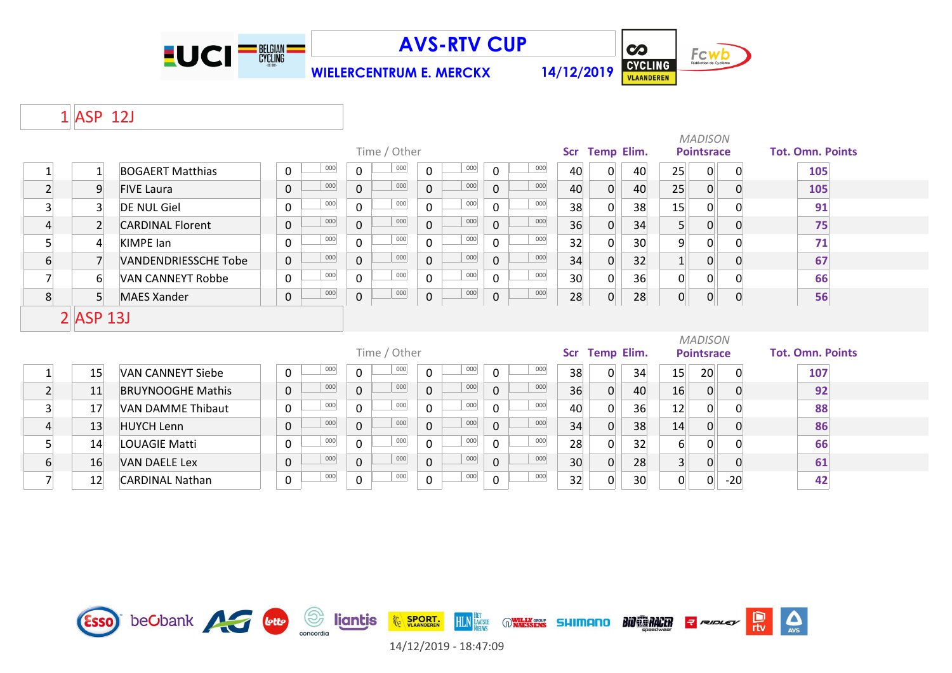

**WIELERCENTRUM E. MERCKX 14/12/2019**



 $\sum_{\text{AVS}}$ 

**D**<br>rtv

#### ASP 12J

|                 |                |                             |                     |              |              |              |     |                |     |    |                |    |                  | <b>MADISON</b>    |              |                         |
|-----------------|----------------|-----------------------------|---------------------|--------------|--------------|--------------|-----|----------------|-----|----|----------------|----|------------------|-------------------|--------------|-------------------------|
|                 |                |                             |                     |              | Time / Other |              |     |                |     |    | Scr Temp Elim. |    |                  | <b>Pointsrace</b> |              | <b>Tot. Omn. Points</b> |
|                 |                | <b>BOGAERT Matthias</b>     | 000<br>0            | $\mathbf 0$  | 000          | 0            | 000 | $\Omega$       | 000 | 40 | $\Omega$       | 40 | 25               | 0                 | 0            | 105                     |
| $\overline{2}$  | $\overline{9}$ | <b>FIVE Laura</b>           | 000<br>$\mathbf 0$  | $\mathbf{0}$ | 000          | $\mathbf 0$  | 000 | $\mathbf{0}$   | 000 | 40 | $\Omega$       | 40 | 25               | $\overline{0}$    | $\Omega$     | 105                     |
| $\overline{3}$  | $\overline{3}$ | <b>DE NUL Giel</b>          | 000<br>$\mathbf{0}$ | $\Omega$     | 000          | 0            | 000 | 0              | 000 | 38 | 0              | 38 | 15               | 0                 | $\Omega$     | 91                      |
| $\overline{4}$  | $\overline{2}$ | <b>CARDINAL Florent</b>     | 000<br>$\mathbf 0$  | $\mathbf{0}$ | 000          | $\mathsf{O}$ | 000 | $\overline{0}$ | 000 | 36 |                | 34 | 5                | $\overline{0}$    | 0            | 75                      |
| 5               | $\overline{4}$ | KIMPE lan                   | 000<br>$\mathbf 0$  | $\mathbf 0$  | 000          | 0            | 000 | 0              | 000 | 32 |                | 30 | 9                | $\overline{0}$    |              | 71                      |
| $6 \overline{}$ | $\overline{7}$ | <b>VANDENDRIESSCHE Tobe</b> | 000<br>$\mathbf{0}$ | $\mathbf{0}$ | 000          | $\mathbf 0$  | 000 | $\mathbf{0}$   | 000 | 34 |                | 32 |                  | 0                 | $\Omega$     | 67                      |
| 7               | 6              | <b>VAN CANNEYT Robbe</b>    | 000<br>$\mathbf 0$  | $\mathbf 0$  | 000          | $\mathbf 0$  | 000 | $\Omega$       | 000 | 30 | $\Omega$       | 36 | $\overline{0}$   | 0                 | 0            | 66                      |
| 8 <sup>1</sup>  | 5 <sup>1</sup> | <b>MAES Xander</b>          | 000<br>$\mathbf 0$  | $\pmb{0}$    | 000          | $\pmb{0}$    | 000 | $\pmb{0}$      | 000 | 28 | $\overline{0}$ | 28 | 0                | 0                 | $\mathbf 0$  | 56                      |
|                 | $2$ $ASP$ 13J  |                             |                     |              |              |              |     |                |     |    |                |    |                  |                   |              |                         |
|                 |                |                             |                     |              |              |              |     |                |     |    |                |    |                  | <b>MADISON</b>    |              |                         |
|                 |                |                             |                     |              | Time / Other |              |     |                |     |    | Scr Temp Elim. |    |                  | <b>Pointsrace</b> |              | <b>Tot. Omn. Points</b> |
| $\mathbf{1}$    | 15             | <b>VAN CANNEYT Siebe</b>    | 000<br>$\mathbf{0}$ | $\mathbf 0$  | 000          | $\mathbf 0$  | 000 | $\mathbf 0$    | 000 | 38 | $\Omega$       | 34 | 15               | 20                | 0            | 107                     |
| $\overline{2}$  | 11             | <b>BRUYNOOGHE Mathis</b>    | 000<br>$\mathbf 0$  | $\mathbf 0$  | 000          | $\mathbf 0$  | 000 | $\mathbf 0$    | 000 | 36 | $\overline{0}$ | 40 | 16               | $\overline{0}$    | 0            | 92                      |
| 3               | 17             | VAN DAMME Thibaut           | $000\,$<br>0        | $\mathbf{0}$ | 000          | $\mathbf{0}$ | 000 | 0              | 000 | 40 | $\Omega$       | 36 | 12               | $\overline{0}$    | <sup>0</sup> | 88                      |
| 4               | 13             | <b>HUYCH Lenn</b>           | 000<br>$\mathbf 0$  | $\mathbf 0$  | 000          | $\mathbf 0$  | 000 | 0              | 000 | 34 |                | 38 | 14               | $\overline{0}$    | $\Omega$     | 86                      |
| 5               | 14             | <b>LOUAGIE Matti</b>        | 000<br>$\mathbf 0$  | $\mathbf 0$  | 000          | 0            | 000 | 0              | 000 | 28 |                | 32 | $6 \overline{6}$ | 0                 | 0            | 66                      |



6 16 VAN DAELE Lex 10 0 <sup>000</sup> 0 <sup>000</sup> 0 <sup>000</sup> 0 <sup>000</sup> 0 30 0 28 3 0 0 0 12 CARDINAL Nathan 0 0 0 0 32 0 30 0 0 -20 **42** <sup>000</sup> <sup>000</sup> <sup>000</sup> <sup>000</sup>

14/12/2019 - 18:47:09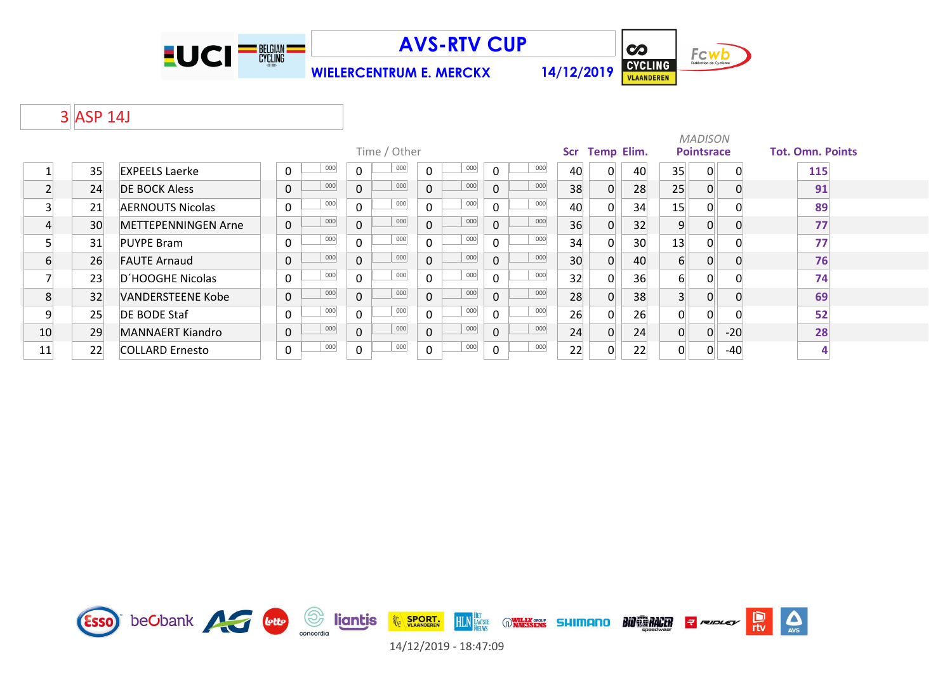



**WIELERCENTRUM E. MERCKX 14/12/2019**

# 3 ASP 14J

|    |    |                          |                     |     |             |              |             |     |          |     |                 |                   |    |                | <b>MADISON</b>    |          |                         |
|----|----|--------------------------|---------------------|-----|-------------|--------------|-------------|-----|----------|-----|-----------------|-------------------|----|----------------|-------------------|----------|-------------------------|
|    |    |                          |                     |     |             | Time / Other |             |     |          |     | Scr             | <b>Temp Elim.</b> |    |                | <b>Pointsrace</b> |          | <b>Tot. Omn. Points</b> |
|    | 35 | <b>EXPEELS Laerke</b>    | 0                   | 000 | $\mathbf 0$ | 000          | $\mathbf 0$ | 000 | $\Omega$ | 000 | 40              | 0                 | 40 | 35             | 0                 | $\Omega$ | 115                     |
|    | 24 | <b>DE BOCK Aless</b>     | $\mathsf{O}\xspace$ | 000 | $\mathbf 0$ | 000          | $\mathbf 0$ | 000 | $\Omega$ | 000 | 38              | 0                 | 28 | 25             | 0                 | $\Omega$ | 91                      |
|    | 21 | <b>AERNOUTS Nicolas</b>  | $\mathbf 0$         | 000 | $\mathbf 0$ | 000          | $\Omega$    | 000 | $\Omega$ | 000 | 40              |                   | 34 | 15             | $\overline{0}$    |          | 89                      |
|    | 30 | METTEPENNINGEN Arne      | $\mathbf 0$         | 000 | $\mathbf 0$ | 000          | $\mathbf 0$ | 000 | $\Omega$ | 000 | 36              | 0                 | 32 | 9              | 0                 |          | 77                      |
|    | 31 | <b>PUYPE Bram</b>        | $\pmb{0}$           | 000 | $\mathbf 0$ | 000          | 0           | 000 | $\Omega$ | 000 | 34              | $\Omega$          | 30 | 13             | $\Omega$          |          | 77                      |
| 6  | 26 | <b>FAUTE Arnaud</b>      | $\pmb{0}$           | 000 | $\pmb{0}$   | 000          | $\mathbf 0$ | 000 | $\Omega$ | 000 | 30 <sup>°</sup> | 0                 | 40 | 6              | 0                 |          | 76                      |
|    | 23 | D'HOOGHE Nicolas         | $\pmb{0}$           | 000 | $\mathbf 0$ | 000          | 0           | 000 | $\Omega$ | 000 | 32              | $\Omega$          | 36 | 6              | 0                 |          | 74                      |
| 8  | 32 | <b>VANDERSTEENE Kobe</b> | $\pmb{0}$           | 000 | $\mathbf 0$ | 000          | $\mathbf 0$ | 000 | $\Omega$ | 000 | 28              | $\Omega$          | 38 |                | $\Omega$          | $\Omega$ | 69                      |
| 9  | 25 | <b>DE BODE Staf</b>      | $\mathbf 0$         | 000 | $\mathbf 0$ | 000          | 0           | 000 | $\Omega$ | 000 | 26              | $\Omega$          | 26 | $\Omega$       | $\Omega$          |          | 52                      |
| 10 | 29 | <b>MANNAERT Kiandro</b>  | $\mathbf 0$         | 000 | $\mathbf 0$ | 000          | $\mathbf 0$ | 000 | $\Omega$ | 000 | 24              | $\Omega$          | 24 | $\overline{0}$ | $\Omega$          | $-20$    | 28                      |
| 11 | 22 | <b>COLLARD Ernesto</b>   | $\pmb{0}$           | 000 | $\pmb{0}$   | 000          | 0           | 000 | 0        | 000 | 22              | $\Omega$          | 22 | U.             | 0                 | -40      |                         |

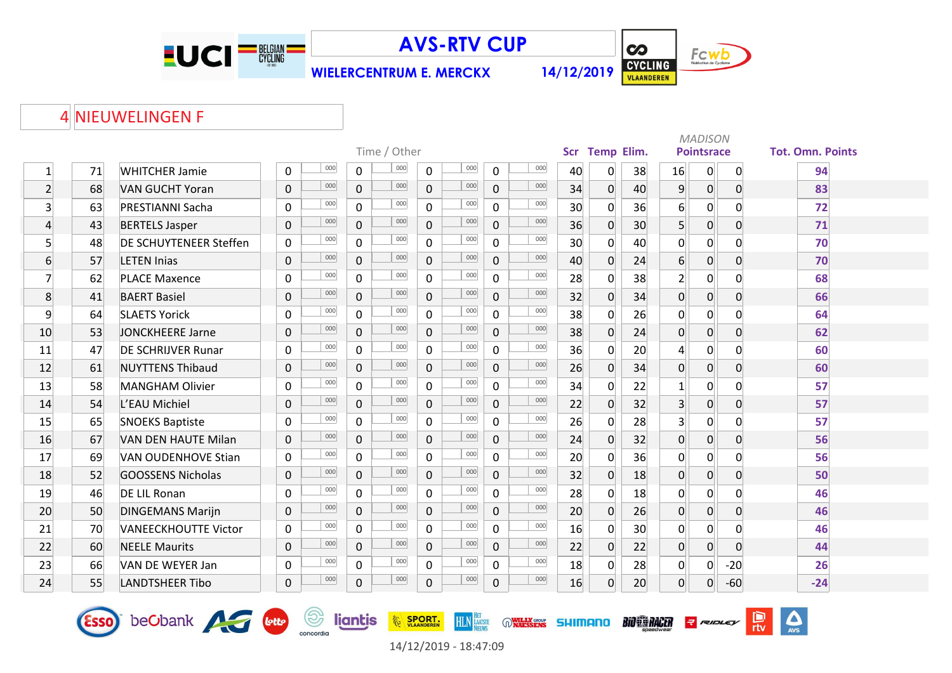

**WIELERCENTRUM E. MERCKX 14/12/2019**



 $\Delta$ 

 $\frac{D}{\pi v}$ 

**BIO RACER** Report

# 4 NIEUWELINGEN F

Esso beCbank et et de Sonordio

| <b>Tot. Omn. Points</b>                                           |
|-------------------------------------------------------------------|
| 94                                                                |
| 83                                                                |
| 72                                                                |
| 71                                                                |
| 70                                                                |
| 70                                                                |
| 68                                                                |
| 66                                                                |
| 64                                                                |
|                                                                   |
|                                                                   |
|                                                                   |
|                                                                   |
|                                                                   |
|                                                                   |
| 56                                                                |
| 56                                                                |
| 50                                                                |
|                                                                   |
| 46                                                                |
|                                                                   |
|                                                                   |
|                                                                   |
|                                                                   |
| 62<br>60<br>60<br>57<br>57<br>57<br>46<br>46<br>44<br>26<br>$-24$ |



**HLN HET WARESERS SHIMANO** 

**EXAMPLE SPORT.**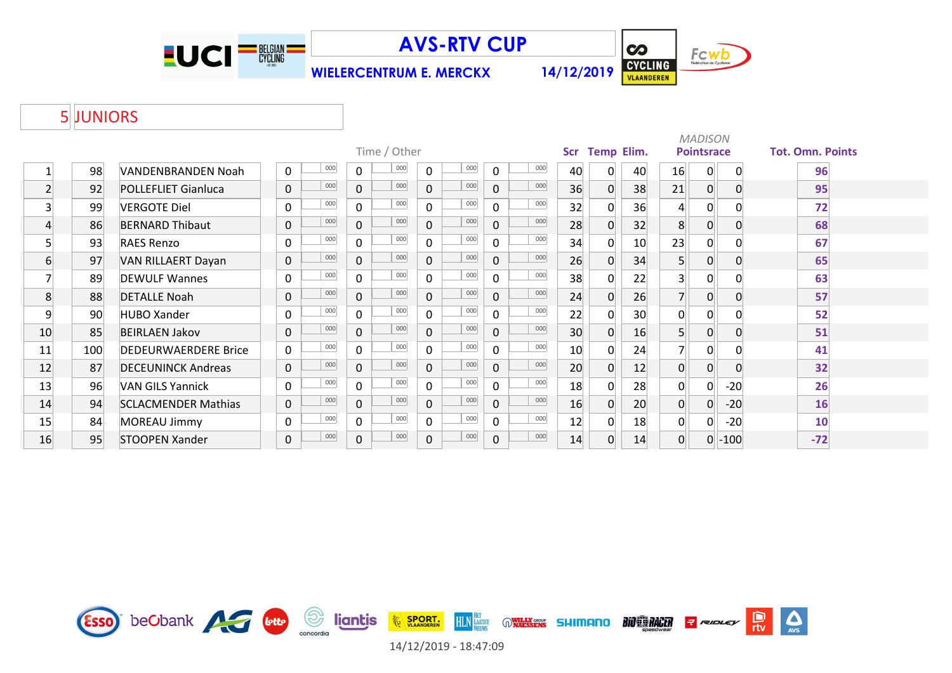

**WIELERCENTRUM E. MERCKX 14/12/2019**



## JUNIORS

|                |     |                             |             |     |                |              |              |     |              |     |            |                   |    |                | <b>MADISON</b>    |          |                         |
|----------------|-----|-----------------------------|-------------|-----|----------------|--------------|--------------|-----|--------------|-----|------------|-------------------|----|----------------|-------------------|----------|-------------------------|
|                |     |                             |             |     |                | Time / Other |              |     |              |     | <b>Scr</b> | <b>Temp Elim.</b> |    |                | <b>Pointsrace</b> |          | <b>Tot. Omn. Points</b> |
|                | 98  | <b>VANDENBRANDEN Noah</b>   | $\mathbf 0$ | 000 | 0              | 000          | $\mathbf 0$  | 000 | $\mathbf 0$  | 000 | 40         | 0                 | 40 | 16             | 0                 | 0        | 96                      |
| $\overline{2}$ | 92  | <b>POLLEFLIET Gianluca</b>  | 0           | 000 | 0              | 000          | $\Omega$     | 000 | $\mathbf 0$  | 000 | 36         | 0                 | 38 | 21             | $\overline{0}$    | $\Omega$ | 95                      |
| 3 <sup>1</sup> | 99  | <b>VERGOTE Diel</b>         | 0           | 000 | $\overline{0}$ | 000          | $\Omega$     | 000 | $\mathbf 0$  | 000 | 32         | 0                 | 36 | 4              | 0                 |          | 72                      |
| $\overline{4}$ | 86  | <b>BERNARD Thibaut</b>      | 0           | 000 | 0              | 000          | $\Omega$     | 000 | $\mathbf{0}$ | 000 | 28         | $\overline{0}$    | 32 | 8 <sup>1</sup> | $\overline{0}$    |          | 68                      |
|                | 93  | <b>RAES Renzo</b>           | $\mathbf 0$ | 000 | $\overline{0}$ | 000          | $\mathbf{0}$ | 000 | $\mathbf 0$  | 000 | 34         | 0                 | 10 | 23             | 0                 |          | 67                      |
| 6              | 97  | <b>VAN RILLAERT Dayan</b>   | 0           | 000 | $\mathbf{0}$   | 000          | $\Omega$     | 000 | $\mathbf 0$  | 000 | 26         | 0                 | 34 | 5 <sup>1</sup> | 0                 | 0        | 65                      |
|                | 89  | <b>DEWULF Wannes</b>        | $\mathbf 0$ | 000 | $\Omega$       | 000          | $\Omega$     | 000 | $\Omega$     | 000 | 38         | 0                 | 22 | 3              | 0                 |          | 63                      |
| 8              | 88  | <b>DETALLE Noah</b>         | 0           | 000 | $\overline{0}$ | 000          | $\Omega$     | 000 | $\mathbf{0}$ | 000 | 24         | 0                 | 26 |                | $\overline{0}$    | 0        | 57                      |
| 9              | 90  | <b>HUBO Xander</b>          | 0           | 000 | 0              | 000          | $\Omega$     | 000 | $\mathbf{0}$ | 000 | 22         | 0                 | 30 | 0              | 0                 |          | 52                      |
| 10             | 85  | <b>BEIRLAEN Jakov</b>       | $\mathbf 0$ | 000 | $\mathbf{0}$   | 000          | $\mathbf{0}$ | 000 | $\mathbf 0$  | 000 | 30         | 0                 | 16 | 5 <sup>1</sup> | 0                 | $\Omega$ | 51                      |
| 11             | 100 | <b>DEDEURWAERDERE Brice</b> | 0           | 000 | 0              | 000          | $\Omega$     | 000 | $\mathbf{0}$ | 000 | 10         | $\Omega$          | 24 |                |                   |          | 41                      |
| 12             | 87  | <b>DECEUNINCK Andreas</b>   | 0           | 000 | 0              | 000          | $\Omega$     | 000 | $\mathbf 0$  | 000 | 20         | 0                 | 12 | $\overline{0}$ | $\overline{0}$    |          | 32                      |
| 13             | 96  | <b>VAN GILS Yannick</b>     | 0           | 000 | $\overline{0}$ | 000          | $\Omega$     | 000 | $\mathbf{0}$ | 000 | 18         | $\Omega$          | 28 | $\overline{0}$ | 0                 | $-20$    | 26                      |
| 14             | 94  | <b>SCLACMENDER Mathias</b>  | $\mathbf 0$ | 000 | $\overline{0}$ | 000          | $\Omega$     | 000 | $\mathbf 0$  | 000 | 16         | 0                 | 20 | $\overline{0}$ | $\overline{0}$    | $-20$    | 16                      |
| 15             | 84  | MOREAU Jimmy                | 0           | 000 | 0              | 000          | 0            | 000 | $\mathbf 0$  | 000 | 12         | 0                 | 18 | 0              | 0                 | $-20$    | 10                      |
| 16             | 95  | STOOPEN Xander              | 0           | 000 | 0              | 000          | $\mathbf 0$  | 000 | 0            | 000 | 14         | 0                 | 14 | $\Omega$       | 0                 | $-100$   | $-72$                   |

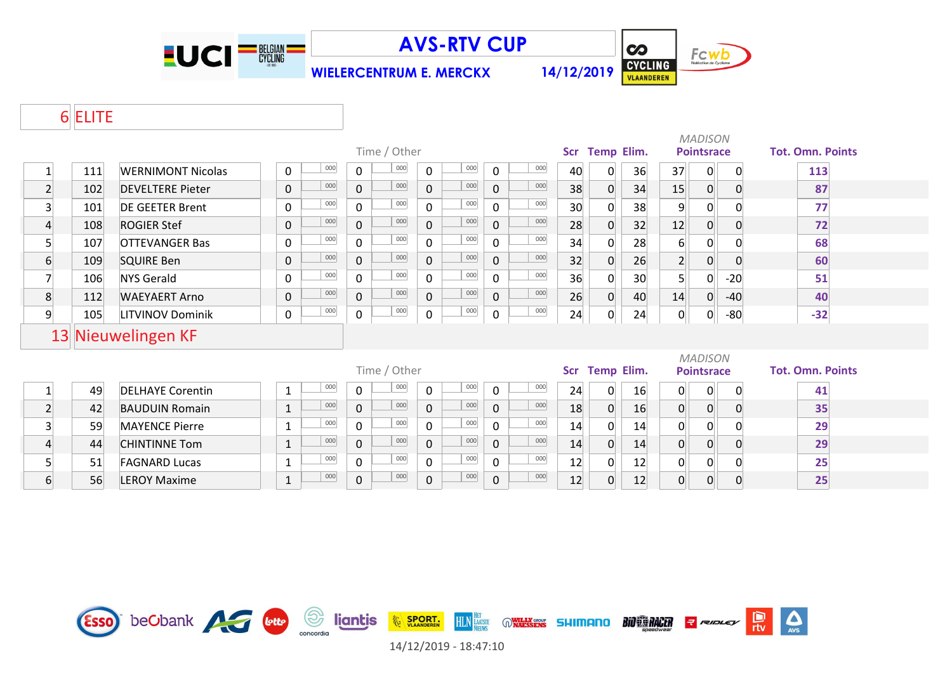

**WIELERCENTRUM E. MERCKX 14/12/2019**



 $\sum_{\text{AVS}}$ 

e<br>rtv

**R** RIDLEY

**BIO ES RACER** 

## ELITE

|                         |     |                          |                     |                    |                       |                     |    |                |    |                                     | <b>MADISON</b>    |             |                         |
|-------------------------|-----|--------------------------|---------------------|--------------------|-----------------------|---------------------|----|----------------|----|-------------------------------------|-------------------|-------------|-------------------------|
|                         |     |                          |                     | Time / Other       |                       |                     |    | Scr Temp Elim. |    |                                     | <b>Pointsrace</b> |             | <b>Tot. Omn. Points</b> |
| $\mathbf{1}$            | 111 | <b>WERNIMONT Nicolas</b> | 000<br>$\mathbf 0$  | 000<br>$\mathbf 0$ | 000<br>$\mathbf 0$    | 000<br>$\Omega$     | 40 | 0              | 36 | 37                                  | 0                 | 0           | 113                     |
| $\overline{2}$          | 102 | <b>DEVELTERE Pieter</b>  | 000<br>$\mathbf 0$  | 000<br>$\mathbf 0$ | 000<br>$\mathbf 0$    | 000<br>$\mathbf 0$  | 38 | $\mathbf 0$    | 34 | 15                                  | $\overline{0}$    | $\mathbf 0$ | 87                      |
| $\mathbf{3}$            | 101 | <b>DE GEETER Brent</b>   | 000<br>$\mathbf 0$  | 000<br>$\mathbf 0$ | 000<br>0              | 000<br>$\mathbf{0}$ | 30 | 0              | 38 | 9                                   | 0                 | 0           | 77                      |
| $\overline{4}$          | 108 | <b>ROGIER Stef</b>       | 000<br>$\mathbf 0$  | 000<br>$\mathbf 0$ | 000<br>$\overline{0}$ | 000<br>$\mathbf{0}$ | 28 | $\Omega$       | 32 | 12                                  | $\overline{0}$    | $\Omega$    | 72                      |
| 5 <sup>1</sup>          | 107 | <b>OTTEVANGER Bas</b>    | 000<br>$\mathbf 0$  | 000<br>$\mathbf 0$ | 000<br>$\mathsf{O}$   | 000<br>$\Omega$     | 34 | 0              | 28 | $6 \overline{6}$                    | $\Omega$          | $\Omega$    | 68                      |
| $6 \overline{6}$        | 109 | <b>SQUIRE Ben</b>        | 000<br>$\mathbf 0$  | 000<br>$\mathbf 0$ | 000<br>0              | 000<br>$\mathbf{0}$ | 32 | 0              | 26 | 2 <sup>1</sup>                      | $\overline{0}$    | 0           | 60                      |
| $\overline{7}$          | 106 | <b>NYS Gerald</b>        | 000<br>$\mathbf 0$  | 000<br>$\mathbf 0$ | 000<br>$\overline{0}$ | 000<br>$\mathbf{0}$ | 36 | 0              | 30 | 5 <sup>1</sup>                      | 0                 | $-20$       | 51                      |
| 8                       | 112 | <b>WAEYAERT Arno</b>     | 000<br>$\mathbf 0$  | 000<br>$\mathbf 0$ | 000<br>$\overline{0}$ | 000<br>$\Omega$     | 26 | $\overline{0}$ | 40 | 14                                  | 0                 | $-40$       | 40                      |
| 9                       | 105 | <b>LITVINOV Dominik</b>  | 000<br>$\mathbf 0$  | 000<br>$\mathbf 0$ | 000<br>$\mathbf 0$    | 000<br>$\mathbf 0$  | 24 | 0              | 24 | 0                                   | $\mathbf{0}$      | $-80$       | $-32$                   |
|                         |     | 13 Nieuwelingen KF       |                     |                    |                       |                     |    |                |    |                                     |                   |             |                         |
|                         |     |                          |                     | Time / Other       |                       |                     |    | Scr Temp Elim. |    | <b>MADISON</b><br><b>Pointsrace</b> |                   |             | <b>Tot. Omn. Points</b> |
| $\mathbf{1}$            | 49  | <b>DELHAYE Corentin</b>  | 000<br>$\mathbf{1}$ | 000<br>$\mathbf 0$ | 000<br>$\mathbf 0$    | 000<br>$\mathbf 0$  | 24 | $\overline{0}$ | 16 | $\overline{0}$                      | 0                 | 0           | 41                      |
| $\overline{2}$          | 42  | <b>BAUDUIN Romain</b>    | 000<br>$\mathbf 1$  | 000<br>$\mathbf 0$ | 000<br>$\mathbf 0$    | 000<br>$\Omega$     | 18 | $\overline{0}$ | 16 | $\overline{0}$                      | $\overline{0}$    | 0           | 35                      |
| $\overline{\mathbf{3}}$ | 59  | <b>MAYENCE Pierre</b>    | 000<br>$\mathbf{1}$ | 000<br>$\mathbf 0$ | 000<br>0              | 000<br>0            | 14 | 0              | 14 | $\overline{0}$                      | 0                 | 0           | 29                      |
| 4                       | 44  | <b>CHINTINNE Tom</b>     | 000<br>$\mathbf 1$  | 000<br>$\mathbf 0$ | 000<br>$\overline{0}$ | 000<br>$\mathbf 0$  | 14 | $\Omega$       | 14 | $\overline{0}$                      | $\overline{0}$    | 0           | 29                      |
| 5 <sup>1</sup>          | 51  | <b>FAGNARD Lucas</b>     | 000<br>$\mathbf{1}$ | 000<br>$\mathbf 0$ | 000<br>0              | 000<br>0            | 12 | $\Omega$       | 12 | $\overline{0}$                      | $\Omega$          | 0           | 25                      |
| $6 \overline{}$         | 56  | <b>LEROY Maxime</b>      | 000<br>$\mathbf{1}$ | 000<br>$\mathbf 0$ | 000<br>0              | 000<br>$\Omega$     | 12 | 0              | 12 | 0                                   | $\overline{0}$    | $\mathbf 0$ | 25                      |

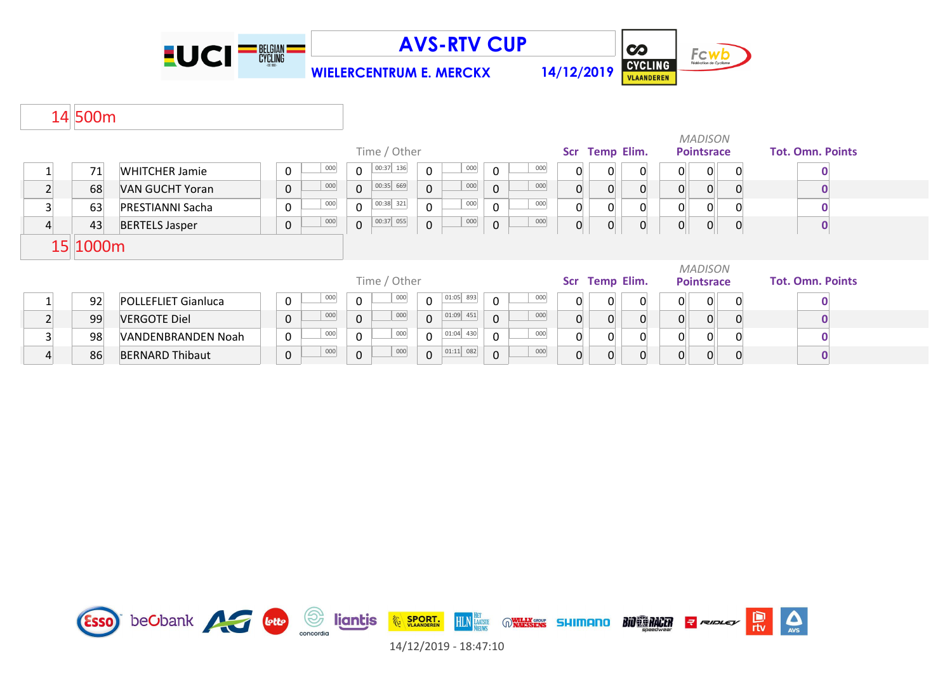

**WIELERCENTRUM E. MERCKX 14/12/2019**



# 500m

|                         |          |                            |  |              |         |                |              |                |             |              |     |                |                |                |                | <b>MADISON</b>    |   |                         |
|-------------------------|----------|----------------------------|--|--------------|---------|----------------|--------------|----------------|-------------|--------------|-----|----------------|----------------|----------------|----------------|-------------------|---|-------------------------|
|                         |          |                            |  |              |         |                | Time / Other |                |             |              |     |                | Scr Temp Elim. |                |                | <b>Pointsrace</b> |   | <b>Tot. Omn. Points</b> |
|                         | 71       | <b>WHITCHER Jamie</b>      |  | 0            | 000     | $\mathbf 0$    | 00:37 136    | $\Omega$       | 000         | $\mathbf{0}$ | 000 | $\mathbf 0$    | 0              | $\mathbf{0}$   | 0              | $\overline{0}$    |   |                         |
| $\overline{2}$          | 68       | VAN GUCHT Yoran            |  | $\mathbf 0$  | 000     | $\mathsf{O}$   | 00:35 669    | $\mathbf 0$    | 000         | $\mathbf{0}$ | 000 | $\overline{0}$ |                |                | 0              | $\Omega$          |   |                         |
| $\overline{\mathbf{3}}$ | 63       | <b>PRESTIANNI Sacha</b>    |  | 0            | 000     | $\mathbf 0$    | 00:38 321    | $\mathbf 0$    | 000         | 0            | 000 | 0              |                |                | 0              | $\Omega$          |   |                         |
| $\overline{a}$          | 43       | <b>BERTELS Jasper</b>      |  | $\pmb{0}$    | 000     | $\overline{0}$ | 00:37 055    | $\mathbf 0$    | 000         | 0            | 000 | $\overline{0}$ | 0              | $\overline{0}$ | $\overline{0}$ | $\overline{0}$    | 0 | 0                       |
|                         | 15 1000m |                            |  |              |         |                |              |                |             |              |     |                |                |                |                |                   |   |                         |
|                         |          |                            |  | Time / Other |         |                |              |                |             |              |     |                |                | <b>MADISON</b> |                |                   |   |                         |
|                         |          |                            |  |              |         |                |              |                |             |              |     |                | Scr Temp Elim. |                |                | <b>Pointsrace</b> |   | <b>Tot. Omn. Points</b> |
|                         | 92       | <b>POLLEFLIET Gianluca</b> |  | $\Omega$     | 000     | $\mathbf 0$    | 000          | $\mathbf 0$    | $01:05$ 893 | $\mathbf 0$  | 000 | $\Omega$       | 0              | $\Omega$       | 0              | $\Omega$          |   |                         |
| $\overline{2}$          | 99       | <b>VERGOTE Diel</b>        |  | $\mathbf 0$  | 000     | $\mathbf 0$    | 000          | $\overline{0}$ | $01:09$ 451 | $\mathbf{0}$ | 000 | $\overline{0}$ |                |                | 0              | $\Omega$          |   |                         |
| $\overline{\mathbf{3}}$ | 98       | VANDENBRANDEN Noah         |  | 0            | $000\,$ | $\mathbf 0$    | 000          | $\mathbf 0$    | $01:04$ 430 | $\mathbf 0$  | 000 | $\overline{0}$ |                |                | 0              | $\Omega$          |   |                         |
| 4                       | 86       | <b>BERNARD Thibaut</b>     |  | 0            | 000     | $\mathbf{0}$   | 000          | $\overline{0}$ | $01:11$ 082 | $\mathbf{0}$ | 000 | $\overline{0}$ |                |                |                |                   |   |                         |